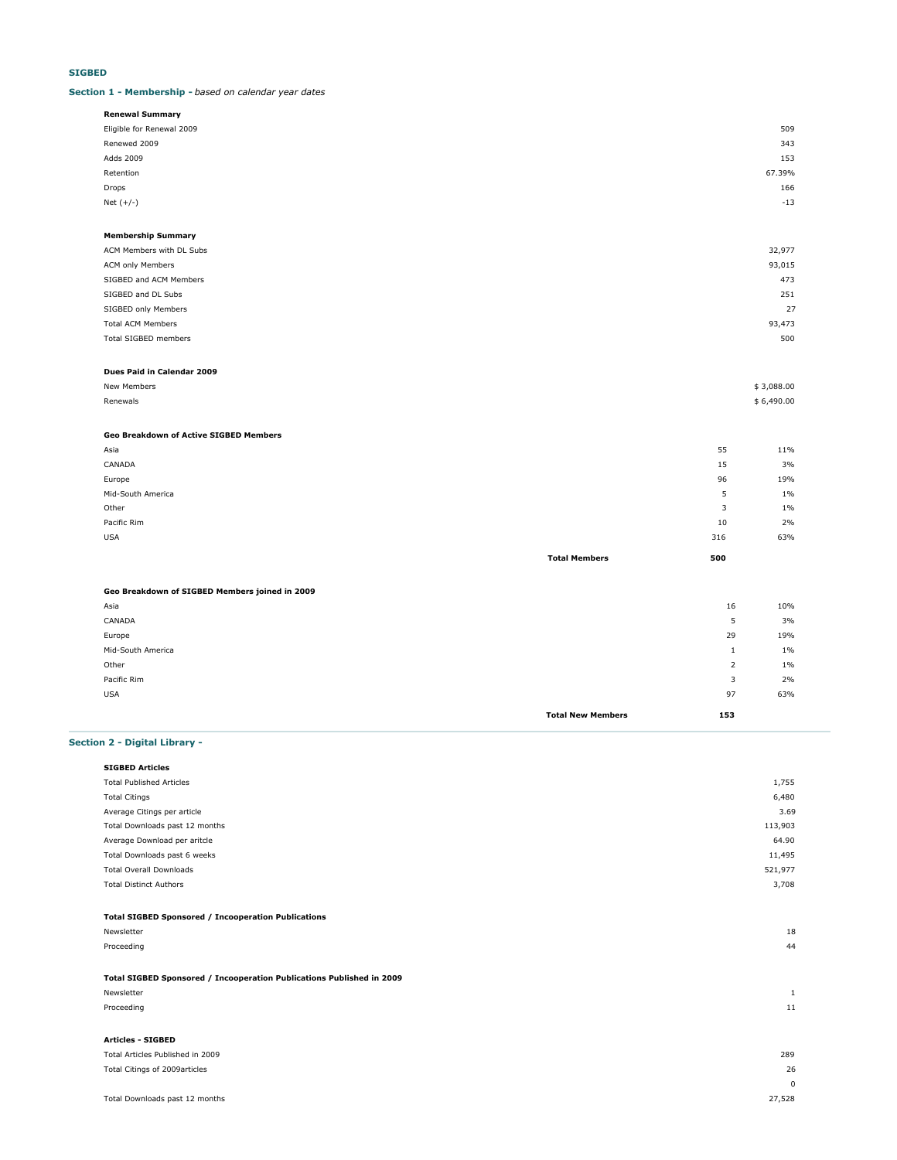# **SIGBED**

### **Section 1 - Membership -** *based on calendar year dates*

| <b>Renewal Summary</b>    |        |
|---------------------------|--------|
| Eligible for Renewal 2009 | 509    |
| Renewed 2009              | 343    |
| Adds 2009                 | 153    |
| Retention                 | 67.39% |
| Drops                     | 166    |
| Net $(+/-)$               | $-13$  |
|                           |        |

### **Membership Summary**

| ACM Members with DL Subs | 32,977 |
|--------------------------|--------|
| ACM only Members         | 93,015 |
| SIGBED and ACM Members   | 473    |
| SIGBED and DL Subs       | 251    |
| SIGBED only Members      | 27     |
| <b>Total ACM Members</b> | 93,473 |
| Total SIGBED members     | 500    |
|                          |        |

### **Dues Paid in Calendar 2009**

| New Members   | \$3,088.00 |
|---------------|------------|
| Renewals<br>. | \$6,490.00 |

# **Geo Breakdown of Active SIGBED Members**

| Asia              |                      | 55  | 11%   |
|-------------------|----------------------|-----|-------|
| CANADA            |                      | 15  | 3%    |
| Europe            |                      | 96  | 19%   |
| Mid-South America |                      | 5   | $1\%$ |
| Other             |                      | 3   | $1\%$ |
| Pacific Rim       |                      | 10  | 2%    |
| <b>USA</b>        |                      | 316 | 63%   |
|                   | <b>Total Members</b> | 500 |       |

### **Geo Breakdown of SIGBED Members joined in 2009**

| <b>Total New Members</b> | 153 |       |
|--------------------------|-----|-------|
| <b>USA</b>               | 97  | 63%   |
| Pacific Rim              | 3   | 2%    |
| Other                    | 2   | $1\%$ |
| Mid-South America        | л.  | $1\%$ |
| Europe                   | 29  | 19%   |
| CANADA                   | 5   | 3%    |
| Asia                     | 16  | 10%   |
|                          |     |       |

# **Section 2 - Digital Library -**

| <b>SIGBED Articles</b>                                     |         |
|------------------------------------------------------------|---------|
| <b>Total Published Articles</b>                            | 1,755   |
| <b>Total Citings</b>                                       | 6,480   |
| Average Citings per article                                | 3.69    |
| Total Downloads past 12 months                             | 113,903 |
| Average Download per aritcle                               | 64.90   |
| Total Downloads past 6 weeks                               | 11,495  |
| <b>Total Overall Downloads</b>                             | 521,977 |
| <b>Total Distinct Authors</b>                              | 3,708   |
|                                                            |         |
| <b>Total SIGBED Sponsored / Incooperation Publications</b> |         |
|                                                            |         |

# Proceeding 44 **Total SIGBED Sponsored / Incooperation Publications Published in 2009**

| 11 |
|----|
|    |
|    |

Newsletter 18

# Total Articles Published in 2009 289 Total Citings of 2009articles 26 0 Total Downloads past 12 months 27,528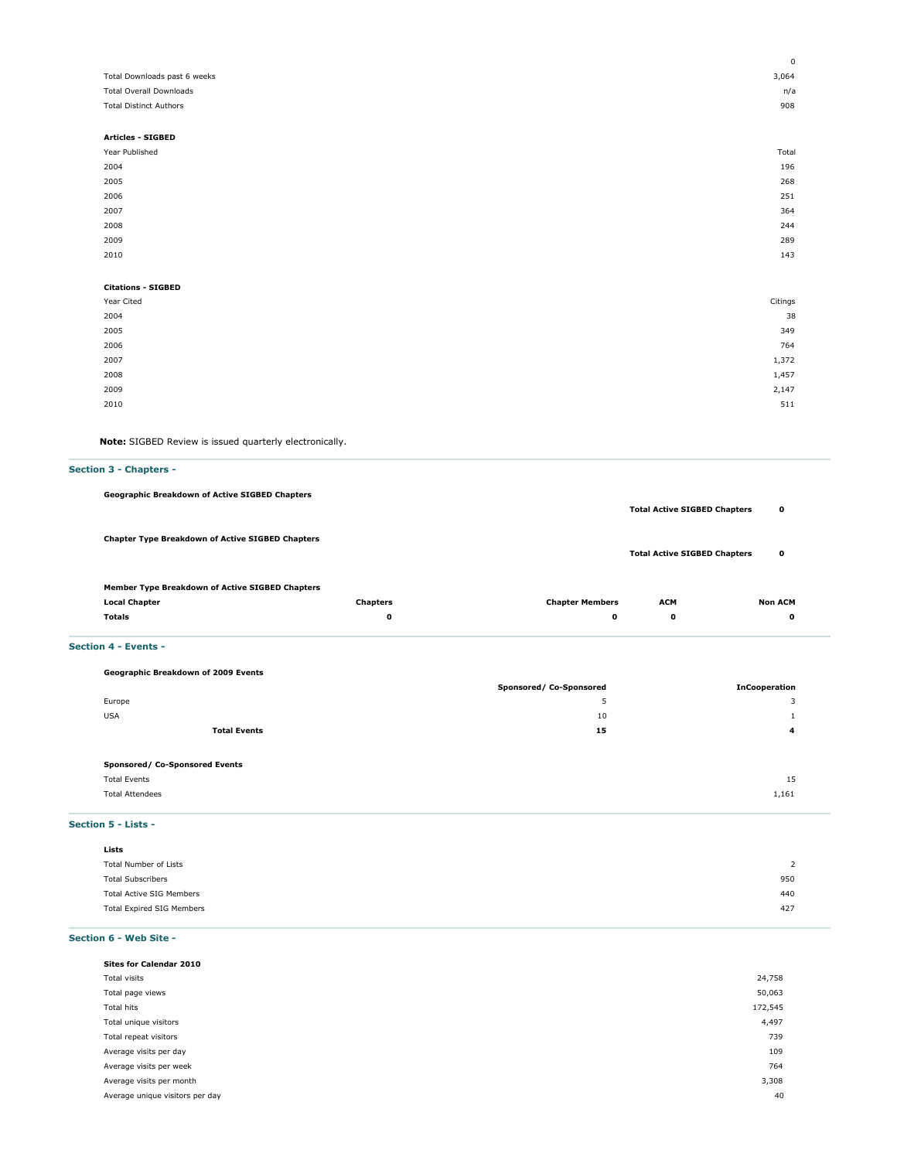|                                | $^{\circ}$ |
|--------------------------------|------------|
| Total Downloads past 6 weeks   | 3,064      |
| <b>Total Overall Downloads</b> | n/a        |
| <b>Total Distinct Authors</b>  | 908        |
|                                |            |
| <b>Articles - SIGBED</b>       |            |
| Year Published                 | Total      |
| 2004                           | 196        |
| 2005                           | 268        |
| 2006                           | 251        |
| 2007                           | 364        |
| 2008                           | 244        |
| 2009                           | 289        |
| 2010                           | 143        |
|                                |            |
| <b>Citations - SIGBED</b>      |            |
| Year Cited                     | Citings    |
| 2004                           | 38         |
| 2005                           | 349        |
| 2006                           | 764        |
| 2007                           | 1,372      |
| 2008                           | 1,457      |
| 2009                           | 2,147      |
| 2010                           | 511        |
|                                |            |

**Note:** SIGBED Review is issued quarterly electronically.

# **Section 3 - Chapters - Geographic Breakdown of Active SIGBED Chapters Total Active SIGBED Chapters 0 Chapter Type Breakdown of Active SIGBED Chapters Total Active SIGBED Chapters 0 Member Type Breakdown of Active SIGBED Chapters**

|  | <b>Local Chapter</b> | <b>Chapters</b> | <b>Chapter Members</b><br>. | <b>ACM</b> | <b>Non ACM</b> |  |
|--|----------------------|-----------------|-----------------------------|------------|----------------|--|
|  | <b>Totals</b>        |                 |                             |            |                |  |
|  |                      |                 |                             |            |                |  |

# **Section 4 - Events -**

|                     | Geographic Breakdown of 2009 Events |                         |                      |
|---------------------|-------------------------------------|-------------------------|----------------------|
|                     |                                     | Sponsored/ Co-Sponsored | <b>InCooperation</b> |
| Europe              |                                     | ٠                       | 3                    |
| <b>USA</b>          |                                     | 10                      |                      |
|                     | <b>Total Events</b>                 | 15                      | 4                    |
|                     | Sponsored/ Co-Sponsored Events      |                         |                      |
| <b>Total Events</b> |                                     |                         | 15                   |

Total Attendees 1,161

**Section 5 - Lists -**

| Lists                     |     |
|---------------------------|-----|
| Total Number of Lists     | ▵   |
| <b>Total Subscribers</b>  | 950 |
| Total Active SIG Members  | 440 |
| Total Expired SIG Members | 427 |
|                           |     |

**Section 6 - Web Site -** 

| <b>Sites for Calendar 2010</b>  |         |
|---------------------------------|---------|
| Total visits                    | 24,758  |
| Total page views                | 50,063  |
| Total hits                      | 172,545 |
| Total unique visitors           | 4,497   |
| Total repeat visitors           | 739     |
| Average visits per day          | 109     |
| Average visits per week         | 764     |
| Average visits per month        | 3,308   |
| Average unique visitors per day | 40      |
|                                 |         |